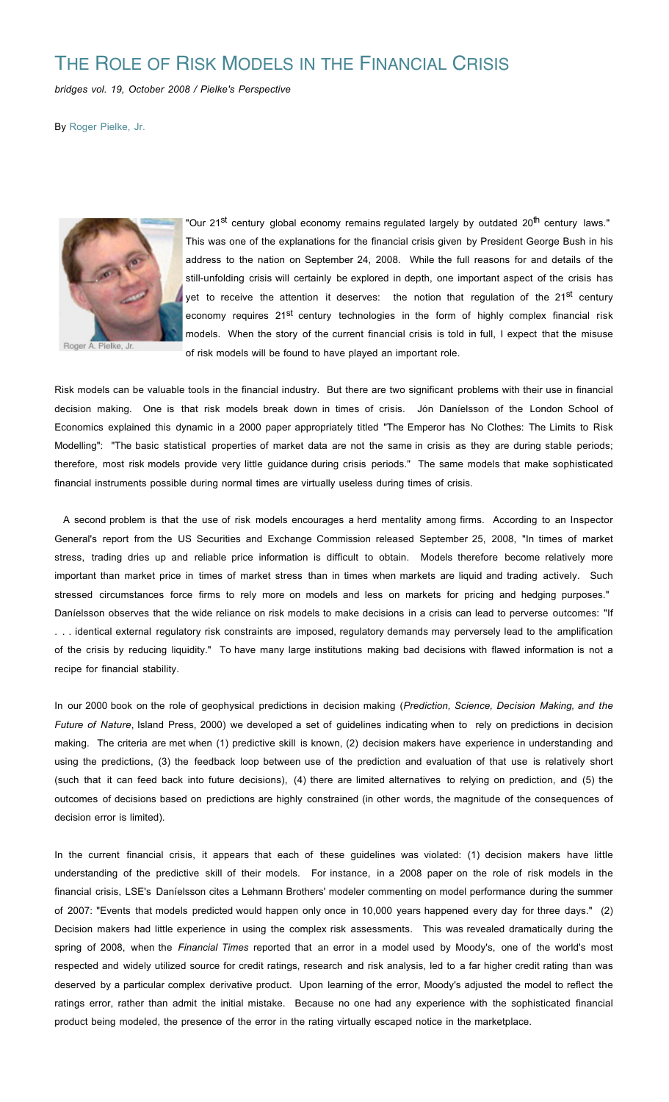## THE ROLE OF RISK MODELS IN THE FINANCIAL CRISIS

*bridges vol. 19, October 2008 / Pielke's Perspective*

By Roger Pielke, Jr.



Roger A. Pielke, Jr.

"Our 21<sup>st</sup> century global economy remains regulated largely by outdated 20<sup>th</sup> century laws." This was one of the explanations for the financial crisis given by President George Bush in his address to the nation on September 24, 2008. While the full reasons for and details of the still-unfolding crisis will certainly be explored in depth, one important aspect of the crisis has yet to receive the attention it deserves: the notion that regulation of the  $21^{st}$  century economy requires 21<sup>st</sup> century technologies in the form of highly complex financial risk models. When the story of the current financial crisis is told in full, I expect that the misuse of risk models will be found to have played an important role.

Risk models can be valuable tools in the financial industry. But there are two significant problems with their use in financial decision making. One is that risk models break down in times of crisis. Jón Daníelsson of the London School of Economics explained this dynamic in a 2000 paper appropriately titled "The Emperor has No Clothes: The Limits to Risk Modelling": "The basic statistical properties of market data are not the same in crisis as they are during stable periods; therefore, most risk models provide very little guidance during crisis periods." The same models that make sophisticated financial instruments possible during normal times are virtually useless during times of crisis.

A second problem is that the use of risk models encourages a herd mentality among firms. According to an Inspector General's report from the US Securities and Exchange Commission released September 25, 2008, "In times of market stress, trading dries up and reliable price information is difficult to obtain. Models therefore become relatively more important than market price in times of market stress than in times when markets are liquid and trading actively. Such stressed circumstances force firms to rely more on models and less on markets for pricing and hedging purposes." Daníelsson observes that the wide reliance on risk models to make decisions in a crisis can lead to perverse outcomes: "If . . . identical external regulatory risk constraints are imposed, regulatory demands may perversely lead to the amplification of the crisis by reducing liquidity." To have many large institutions making bad decisions with flawed information is not a recipe for financial stability.

In our 2000 book on the role of geophysical predictions in decision making (*Prediction, Science, Decision Making, and the Future of Nature*, Island Press, 2000) we developed a set of guidelines indicating when to rely on predictions in decision making. The criteria are met when (1) predictive skill is known, (2) decision makers have experience in understanding and using the predictions, (3) the feedback loop between use of the prediction and evaluation of that use is relatively short (such that it can feed back into future decisions), (4) there are limited alternatives to relying on prediction, and (5) the outcomes of decisions based on predictions are highly constrained (in other words, the magnitude of the consequences of decision error is limited).

In the current financial crisis, it appears that each of these guidelines was violated: (1) decision makers have little understanding of the predictive skill of their models. For instance, in a 2008 paper on the role of risk models in the financial crisis, LSE's Daníelsson cites a Lehmann Brothers' modeler commenting on model performance during the summer of 2007: "Events that models predicted would happen only once in 10,000 years happened every day for three days." (2) Decision makers had little experience in using the complex risk assessments. This was revealed dramatically during the spring of 2008, when the *Financial Times* reported that an error in a model used by Moody's, one of the world's most respected and widely utilized source for credit ratings, research and risk analysis, led to a far higher credit rating than was deserved by a particular complex derivative product. Upon learning of the error, Moody's adjusted the model to reflect the ratings error, rather than admit the initial mistake. Because no one had any experience with the sophisticated financial product being modeled, the presence of the error in the rating virtually escaped notice in the marketplace.